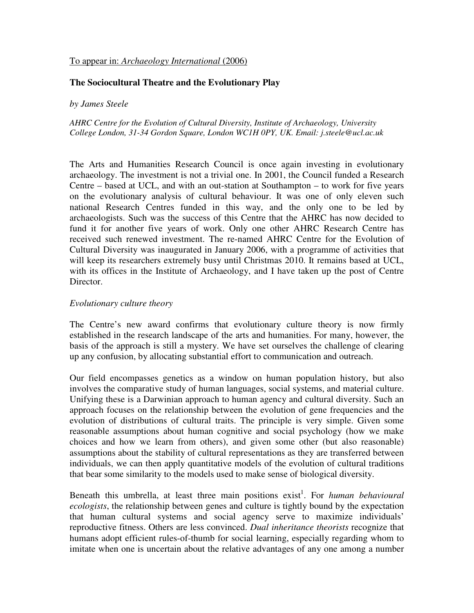# To appear in: *Archaeology International* (2006)

# **The Sociocultural Theatre and the Evolutionary Play**

#### *by James Steele*

*AHRC Centre for the Evolution of Cultural Diversity, Institute of Archaeology, University College London, 31-34 Gordon Square, London WC1H 0PY, UK. Email: j.steele@ucl.ac.uk* 

The Arts and Humanities Research Council is once again investing in evolutionary archaeology. The investment is not a trivial one. In 2001, the Council funded a Research Centre – based at UCL, and with an out-station at Southampton – to work for five years on the evolutionary analysis of cultural behaviour. It was one of only eleven such national Research Centres funded in this way, and the only one to be led by archaeologists. Such was the success of this Centre that the AHRC has now decided to fund it for another five years of work. Only one other AHRC Research Centre has received such renewed investment. The re-named AHRC Centre for the Evolution of Cultural Diversity was inaugurated in January 2006, with a programme of activities that will keep its researchers extremely busy until Christmas 2010. It remains based at UCL, with its offices in the Institute of Archaeology, and I have taken up the post of Centre Director.

### *Evolutionary culture theory*

The Centre's new award confirms that evolutionary culture theory is now firmly established in the research landscape of the arts and humanities. For many, however, the basis of the approach is still a mystery. We have set ourselves the challenge of clearing up any confusion, by allocating substantial effort to communication and outreach.

Our field encompasses genetics as a window on human population history, but also involves the comparative study of human languages, social systems, and material culture. Unifying these is a Darwinian approach to human agency and cultural diversity. Such an approach focuses on the relationship between the evolution of gene frequencies and the evolution of distributions of cultural traits. The principle is very simple. Given some reasonable assumptions about human cognitive and social psychology (how we make choices and how we learn from others), and given some other (but also reasonable) assumptions about the stability of cultural representations as they are transferred between individuals, we can then apply quantitative models of the evolution of cultural traditions that bear some similarity to the models used to make sense of biological diversity.

Beneath this umbrella, at least three main positions exist<sup>1</sup>. For *human behavioural ecologists*, the relationship between genes and culture is tightly bound by the expectation that human cultural systems and social agency serve to maximize individuals' reproductive fitness. Others are less convinced. *Dual inheritance theorists* recognize that humans adopt efficient rules-of-thumb for social learning, especially regarding whom to imitate when one is uncertain about the relative advantages of any one among a number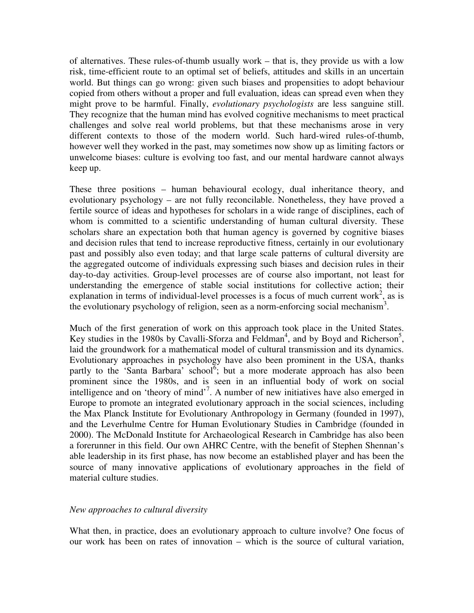of alternatives. These rules-of-thumb usually work – that is, they provide us with a low risk, time-efficient route to an optimal set of beliefs, attitudes and skills in an uncertain world. But things can go wrong: given such biases and propensities to adopt behaviour copied from others without a proper and full evaluation, ideas can spread even when they might prove to be harmful. Finally, *evolutionary psychologists* are less sanguine still. They recognize that the human mind has evolved cognitive mechanisms to meet practical challenges and solve real world problems, but that these mechanisms arose in very different contexts to those of the modern world. Such hard-wired rules-of-thumb, however well they worked in the past, may sometimes now show up as limiting factors or unwelcome biases: culture is evolving too fast, and our mental hardware cannot always keep up.

These three positions – human behavioural ecology, dual inheritance theory, and evolutionary psychology – are not fully reconcilable. Nonetheless, they have proved a fertile source of ideas and hypotheses for scholars in a wide range of disciplines, each of whom is committed to a scientific understanding of human cultural diversity. These scholars share an expectation both that human agency is governed by cognitive biases and decision rules that tend to increase reproductive fitness, certainly in our evolutionary past and possibly also even today; and that large scale patterns of cultural diversity are the aggregated outcome of individuals expressing such biases and decision rules in their day-to-day activities. Group-level processes are of course also important, not least for understanding the emergence of stable social institutions for collective action; their explanation in terms of individual-level processes is a focus of much current work<sup>2</sup>, as is the evolutionary psychology of religion, seen as a norm-enforcing social mechanism<sup>3</sup>.

Much of the first generation of work on this approach took place in the United States. Key studies in the 1980s by Cavalli-Sforza and  $\overline{F}$ eldman<sup>4</sup>, and by Boyd and Richerson<sup>5</sup>, laid the groundwork for a mathematical model of cultural transmission and its dynamics. Evolutionary approaches in psychology have also been prominent in the USA, thanks partly to the 'Santa Barbara' school<sup>6</sup>; but a more moderate approach has also been prominent since the 1980s, and is seen in an influential body of work on social intelligence and on 'theory of mind'<sup>7</sup>. A number of new initiatives have also emerged in Europe to promote an integrated evolutionary approach in the social sciences, including the Max Planck Institute for Evolutionary Anthropology in Germany (founded in 1997), and the Leverhulme Centre for Human Evolutionary Studies in Cambridge (founded in 2000). The McDonald Institute for Archaeological Research in Cambridge has also been a forerunner in this field. Our own AHRC Centre, with the benefit of Stephen Shennan's able leadership in its first phase, has now become an established player and has been the source of many innovative applications of evolutionary approaches in the field of material culture studies.

#### *New approaches to cultural diversity*

What then, in practice, does an evolutionary approach to culture involve? One focus of our work has been on rates of innovation – which is the source of cultural variation,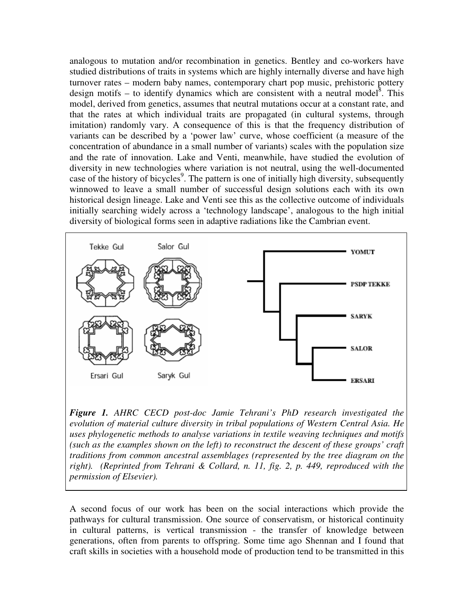analogous to mutation and/or recombination in genetics. Bentley and co-workers have studied distributions of traits in systems which are highly internally diverse and have high turnover rates – modern baby names, contemporary chart pop music, prehistoric pottery design motifs – to identify dynamics which are consistent with a neutral model<sup>8</sup>. This model, derived from genetics, assumes that neutral mutations occur at a constant rate, and that the rates at which individual traits are propagated (in cultural systems, through imitation) randomly vary. A consequence of this is that the frequency distribution of variants can be described by a 'power law' curve, whose coefficient (a measure of the concentration of abundance in a small number of variants) scales with the population size and the rate of innovation. Lake and Venti, meanwhile, have studied the evolution of diversity in new technologies where variation is not neutral, using the well-documented case of the history of bicycles<sup>9</sup>. The pattern is one of initially high diversity, subsequently winnowed to leave a small number of successful design solutions each with its own historical design lineage. Lake and Venti see this as the collective outcome of individuals initially searching widely across a 'technology landscape', analogous to the high initial diversity of biological forms seen in adaptive radiations like the Cambrian event.



*Figure 1. AHRC CECD post-doc Jamie Tehrani's PhD research investigated the evolution of material culture diversity in tribal populations of Western Central Asia. He uses phylogenetic methods to analyse variations in textile weaving techniques and motifs (such as the examples shown on the left) to reconstruct the descent of these groups' craft traditions from common ancestral assemblages (represented by the tree diagram on the right). (Reprinted from Tehrani & Collard, n. 11, fig. 2, p. 449, reproduced with the permission of Elsevier).* 

A second focus of our work has been on the social interactions which provide the pathways for cultural transmission. One source of conservatism, or historical continuity in cultural patterns, is vertical transmission - the transfer of knowledge between generations, often from parents to offspring. Some time ago Shennan and I found that craft skills in societies with a household mode of production tend to be transmitted in this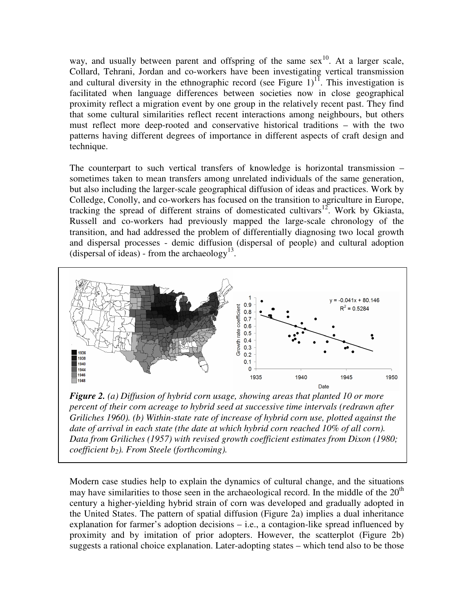way, and usually between parent and offspring of the same sex<sup>10</sup>. At a larger scale, Collard, Tehrani, Jordan and co-workers have been investigating vertical transmission and cultural diversity in the ethnographic record (see Figure  $1$ )<sup>11</sup>. This investigation is facilitated when language differences between societies now in close geographical proximity reflect a migration event by one group in the relatively recent past. They find that some cultural similarities reflect recent interactions among neighbours, but others must reflect more deep-rooted and conservative historical traditions – with the two patterns having different degrees of importance in different aspects of craft design and technique.

The counterpart to such vertical transfers of knowledge is horizontal transmission – sometimes taken to mean transfers among unrelated individuals of the same generation, but also including the larger-scale geographical diffusion of ideas and practices. Work by Colledge, Conolly, and co-workers has focused on the transition to agriculture in Europe, tracking the spread of different strains of domesticated cultivars<sup>12</sup>. Work by Gkiasta, Russell and co-workers had previously mapped the large-scale chronology of the transition, and had addressed the problem of differentially diagnosing two local growth and dispersal processes - demic diffusion (dispersal of people) and cultural adoption (dispersal of ideas) - from the archaeology<sup>13</sup>.



*Figure 2. (a) Diffusion of hybrid corn usage, showing areas that planted 10 or more percent of their corn acreage to hybrid seed at successive time intervals (redrawn after Griliches 1960). (b) Within-state rate of increase of hybrid corn use, plotted against the date of arrival in each state (the date at which hybrid corn reached 10% of all corn). Data from Griliches (1957) with revised growth coefficient estimates from Dixon (1980; coefficient b2). From Steele (forthcoming).* 

Modern case studies help to explain the dynamics of cultural change, and the situations may have similarities to those seen in the archaeological record. In the middle of the  $20<sup>th</sup>$ century a higher-yielding hybrid strain of corn was developed and gradually adopted in the United States. The pattern of spatial diffusion (Figure 2a) implies a dual inheritance explanation for farmer's adoption decisions – i.e., a contagion-like spread influenced by proximity and by imitation of prior adopters. However, the scatterplot (Figure 2b) suggests a rational choice explanation. Later-adopting states – which tend also to be those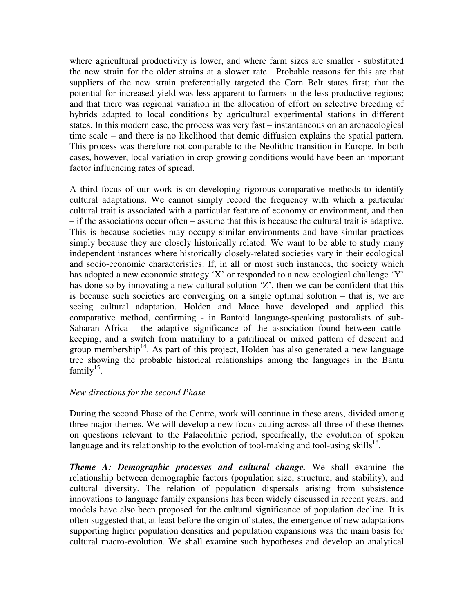where agricultural productivity is lower, and where farm sizes are smaller - substituted the new strain for the older strains at a slower rate. Probable reasons for this are that suppliers of the new strain preferentially targeted the Corn Belt states first; that the potential for increased yield was less apparent to farmers in the less productive regions; and that there was regional variation in the allocation of effort on selective breeding of hybrids adapted to local conditions by agricultural experimental stations in different states. In this modern case, the process was very fast – instantaneous on an archaeological time scale – and there is no likelihood that demic diffusion explains the spatial pattern. This process was therefore not comparable to the Neolithic transition in Europe. In both cases, however, local variation in crop growing conditions would have been an important factor influencing rates of spread.

A third focus of our work is on developing rigorous comparative methods to identify cultural adaptations. We cannot simply record the frequency with which a particular cultural trait is associated with a particular feature of economy or environment, and then – if the associations occur often – assume that this is because the cultural trait is adaptive. This is because societies may occupy similar environments and have similar practices simply because they are closely historically related. We want to be able to study many independent instances where historically closely-related societies vary in their ecological and socio-economic characteristics. If, in all or most such instances, the society which has adopted a new economic strategy 'X' or responded to a new ecological challenge 'Y' has done so by innovating a new cultural solution 'Z', then we can be confident that this is because such societies are converging on a single optimal solution – that is, we are seeing cultural adaptation. Holden and Mace have developed and applied this comparative method, confirming - in Bantoid language-speaking pastoralists of sub-Saharan Africa - the adaptive significance of the association found between cattlekeeping, and a switch from matriliny to a patrilineal or mixed pattern of descent and group membership<sup>14</sup>. As part of this project, Holden has also generated a new language tree showing the probable historical relationships among the languages in the Bantu family<sup>15</sup>.

# *New directions for the second Phase*

During the second Phase of the Centre, work will continue in these areas, divided among three major themes. We will develop a new focus cutting across all three of these themes on questions relevant to the Palaeolithic period, specifically, the evolution of spoken language and its relationship to the evolution of tool-making and tool-using skills<sup>16</sup>.

*Theme A: Demographic processes and cultural change.* We shall examine the relationship between demographic factors (population size, structure, and stability), and cultural diversity. The relation of population dispersals arising from subsistence innovations to language family expansions has been widely discussed in recent years, and models have also been proposed for the cultural significance of population decline. It is often suggested that, at least before the origin of states, the emergence of new adaptations supporting higher population densities and population expansions was the main basis for cultural macro-evolution. We shall examine such hypotheses and develop an analytical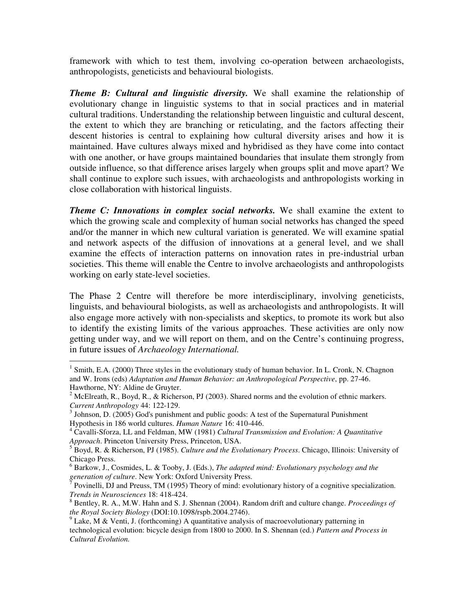framework with which to test them, involving co-operation between archaeologists, anthropologists, geneticists and behavioural biologists.

*Theme B: Cultural and linguistic diversity.* We shall examine the relationship of evolutionary change in linguistic systems to that in social practices and in material cultural traditions. Understanding the relationship between linguistic and cultural descent, the extent to which they are branching or reticulating, and the factors affecting their descent histories is central to explaining how cultural diversity arises and how it is maintained. Have cultures always mixed and hybridised as they have come into contact with one another, or have groups maintained boundaries that insulate them strongly from outside influence, so that difference arises largely when groups split and move apart? We shall continue to explore such issues, with archaeologists and anthropologists working in close collaboration with historical linguists.

*Theme C: Innovations in complex social networks.* We shall examine the extent to which the growing scale and complexity of human social networks has changed the speed and/or the manner in which new cultural variation is generated. We will examine spatial and network aspects of the diffusion of innovations at a general level, and we shall examine the effects of interaction patterns on innovation rates in pre-industrial urban societies. This theme will enable the Centre to involve archaeologists and anthropologists working on early state-level societies.

The Phase 2 Centre will therefore be more interdisciplinary, involving geneticists, linguists, and behavioural biologists, as well as archaeologists and anthropologists. It will also engage more actively with non-specialists and skeptics, to promote its work but also to identify the existing limits of the various approaches. These activities are only now getting under way, and we will report on them, and on the Centre's continuing progress, in future issues of *Archaeology International.*

 $\overline{a}$ 

<sup>&</sup>lt;sup>1</sup> Smith, E.A. (2000) Three styles in the evolutionary study of human behavior. In L. Cronk, N. Chagnon and W. Irons (eds) *Adaptation and Human Behavior: an Anthropological Perspective*, pp. 27-46. Hawthorne, NY: Aldine de Gruyter.

<sup>&</sup>lt;sup>2</sup> McElreath, R., Boyd, R., & Richerson, PJ (2003). Shared norms and the evolution of ethnic markers. *Current Anthropology* 44: 122-129.

 $3$  Johnson, D. (2005) God's punishment and public goods: A test of the Supernatural Punishment Hypothesis in 186 world cultures. *Human Nature* 16: 410-446.

<sup>4</sup> Cavalli-Sforza, LL and Feldman, MW (1981) *Cultural Transmission and Evolution: A Quantitative Approach*. Princeton University Press, Princeton, USA.

<sup>5</sup> Boyd, R. & Richerson, PJ (1985). *Culture and the Evolutionary Process*. Chicago, Illinois: University of Chicago Press.

<sup>6</sup> Barkow, J., Cosmides, L. & Tooby, J. (Eds.), *The adapted mind: Evolutionary psychology and the* 

generation of culture. New York: Oxford University Press.<br><sup>7</sup> Povinelli, DJ and Preuss, TM (1995) Theory of mind: evolutionary history of a cognitive specialization. *Trends in Neurosciences* 18: 418-424.

<sup>8</sup> Bentley, R. A., M.W. Hahn and S. J. Shennan (2004). Random drift and culture change. *Proceedings of the Royal Society Biology* (DOI:10.1098/rspb.2004.2746).

 $9$  Lake, M & Venti, J. (forthcoming) A quantitative analysis of macroevolutionary patterning in technological evolution: bicycle design from 1800 to 2000. In S. Shennan (ed.) *Pattern and Process in Cultural Evolution.*